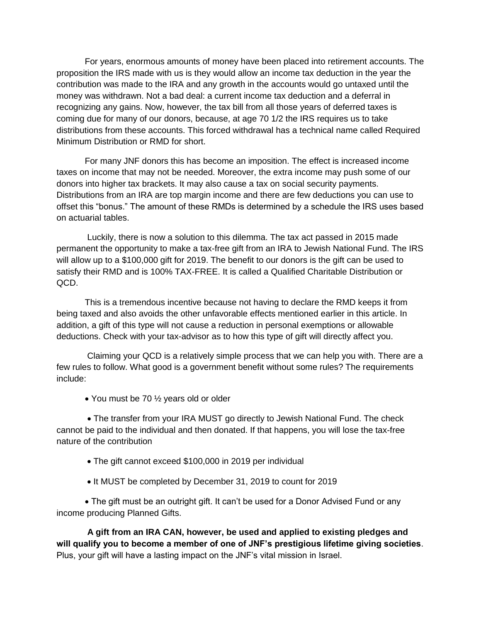For years, enormous amounts of money have been placed into retirement accounts. The proposition the IRS made with us is they would allow an income tax deduction in the year the contribution was made to the IRA and any growth in the accounts would go untaxed until the money was withdrawn. Not a bad deal: a current income tax deduction and a deferral in recognizing any gains. Now, however, the tax bill from all those years of deferred taxes is coming due for many of our donors, because, at age 70 1/2 the IRS requires us to take distributions from these accounts. This forced withdrawal has a technical name called Required Minimum Distribution or RMD for short.

For many JNF donors this has become an imposition. The effect is increased income taxes on income that may not be needed. Moreover, the extra income may push some of our donors into higher tax brackets. It may also cause a tax on social security payments. Distributions from an IRA are top margin income and there are few deductions you can use to offset this "bonus." The amount of these RMDs is determined by a schedule the IRS uses based on actuarial tables.

Luckily, there is now a solution to this dilemma. The tax act passed in 2015 made permanent the opportunity to make a tax-free gift from an IRA to Jewish National Fund. The IRS will allow up to a \$100,000 gift for 2019. The benefit to our donors is the gift can be used to satisfy their RMD and is 100% TAX-FREE. It is called a Qualified Charitable Distribution or QCD.

This is a tremendous incentive because not having to declare the RMD keeps it from being taxed and also avoids the other unfavorable effects mentioned earlier in this article. In addition, a gift of this type will not cause a reduction in personal exemptions or allowable deductions. Check with your tax-advisor as to how this type of gift will directly affect you.

Claiming your QCD is a relatively simple process that we can help you with. There are a few rules to follow. What good is a government benefit without some rules? The requirements include:

• You must be 70 1/2 years old or older

 The transfer from your IRA MUST go directly to Jewish National Fund. The check cannot be paid to the individual and then donated. If that happens, you will lose the tax-free nature of the contribution

- The gift cannot exceed \$100,000 in 2019 per individual
- It MUST be completed by December 31, 2019 to count for 2019

 The gift must be an outright gift. It can't be used for a Donor Advised Fund or any income producing Planned Gifts.

**A gift from an IRA CAN, however, be used and applied to existing pledges and will qualify you to become a member of one of JNF's prestigious lifetime giving societies**. Plus, your gift will have a lasting impact on the JNF's vital mission in Israel.